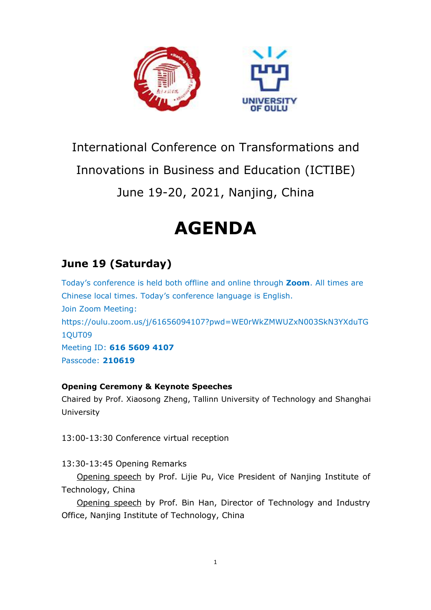

# International Conference on Transformations and

Innovations in Business and Education (ICTIBE)

June 19-20, 2021, Nanjing, China

# **AGENDA**

# **June 19 (Saturday)**

Today's conference is held both offline and online through **Zoom**. All times are Chinese local times. Today's conference language is English. Join Zoom Meeting: https://oulu.zoom.us/j/61656094107?pwd=WE0rWkZMWUZxN003SkN3YXduTG 1QUT09 Meeting ID: **616 5609 4107** Passcode: **210619**

#### **Opening Ceremony & Keynote Speeches**

Chaired by Prof. Xiaosong Zheng, Tallinn University of Technology and Shanghai University

13:00-13:30 Conference virtual reception

13:30-13:45 Opening Remarks

Opening speech by Prof. Lijie Pu, Vice President of Nanjing Institute of Technology, China

Opening speech by Prof. Bin Han, Director of Technology and Industry Office, Nanjing Institute of Technology, China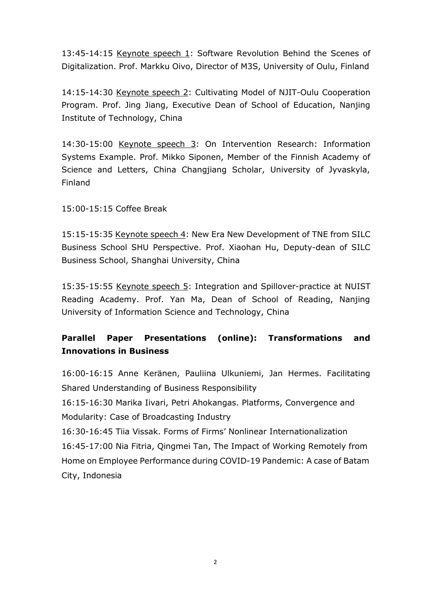13:45-14:15 Keynote speech 1: Software Revolution Behind the Scenes of Digitalization. Prof. Markku Oivo, Director of M3S, University of Oulu, Finland

14:15-14:30 Keynote speech 2: Cultivating Model of NJIT-Oulu Cooperation Program. Prof. Jing Jiang, Executive Dean of School of Education, Nanjing Institute of Technology, China

14:30-15:00 Keynote speech 3: On Intervention Research: Information Systems Example. Prof. Mikko Siponen, Member of the Finnish Academy of Science and Letters, China Changjiang Scholar, University of Jyvaskyla, Finland

15:00-15:15 Coffee Break

15:15-15:35 Keynote speech 4: New Era New Development of TNE from SILC Business School SHU Perspective. Prof. Xiaohan Hu, Deputy-dean of SILC Business School, Shanghai University, China

15:35-15:55 Keynote speech 5: Integration and Spillover-practice at NUIST Reading Academy. Prof. Yan Ma, Dean of School of Reading, Nanjing University of Information Science and Technology, China

## **Parallel Paper Presentations (online): Transformations and Innovations in Business**

16:00-16:15 Anne Keränen, Pauliina Ulkuniemi, Jan Hermes. Facilitating Shared Understanding of Business Responsibility

16:15-16:30 Marika Iivari, Petri Ahokangas. Platforms, Convergence and Modularity: Case of Broadcasting Industry

16:30-16:45 Tiia Vissak. Forms of Firms' Nonlinear Internationalization 16:45-17:00 Nia Fitria, Qingmei Tan, The Impact of Working Remotely from Home on Employee Performance during COVID-19 Pandemic: A case of Batam City, Indonesia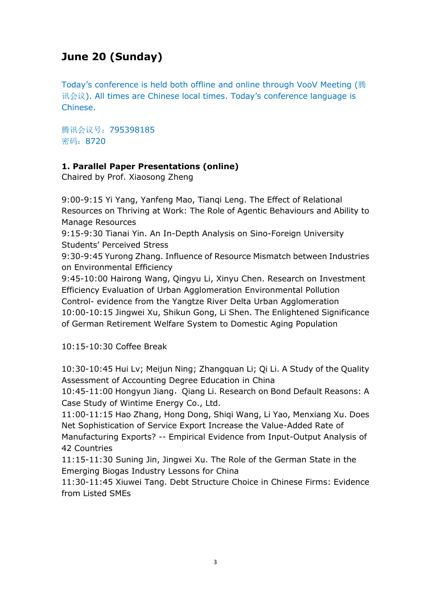# **June 20 (Sunday)**

Today's conference is held both offline and online through VooV Meeting (腾 讯会议). All times are Chinese local times. Today's conference language is Chinese.

腾讯会议号:795398185 密码:8720

### **1. Parallel Paper Presentations (online)**

Chaired by Prof. Xiaosong Zheng

9:00-9:15 Yi Yang, Yanfeng Mao, Tianqi Leng. The Effect of Relational Resources on Thriving at Work: The Role of Agentic Behaviours and Ability to Manage Resources

9:15-9:30 Tianai Yin. An In-Depth Analysis on Sino-Foreign University Students' Perceived Stress

9:30-9:45 Yurong Zhang. Influence of Resource Mismatch between Industries on Environmental Efficiency

9:45-10:00 Hairong Wang, Qingyu Li, Xinyu Chen. Research on Investment Efficiency Evaluation of Urban Agglomeration Environmental Pollution Control- evidence from the Yangtze River Delta Urban Agglomeration 10:00-10:15 Jingwei Xu, Shikun Gong, Li Shen. The Enlightened Significance of German Retirement Welfare System to Domestic Aging Population

10:15-10:30 Coffee Break

10:30-10:45 Hui Lv; Meijun Ning; Zhangquan Li; Qi Li. A Study of the Quality Assessment of Accounting Degree Education in China

10:45-11:00 Hongyun Jiang, Qiang Li. Research on Bond Default Reasons: A Case Study of Wintime Energy Co., Ltd.

11:00-11:15 Hao Zhang, Hong Dong, Shiqi Wang, Li Yao, Menxiang Xu. Does Net Sophistication of Service Export Increase the Value-Added Rate of Manufacturing Exports? -- Empirical Evidence from Input-Output Analysis of 42 Countries

11:15-11:30 Suning Jin, Jingwei Xu. The Role of the German State in the Emerging Biogas Industry Lessons for China

11:30-11:45 Xiuwei Tang. Debt Structure Choice in Chinese Firms: Evidence from Listed SMEs